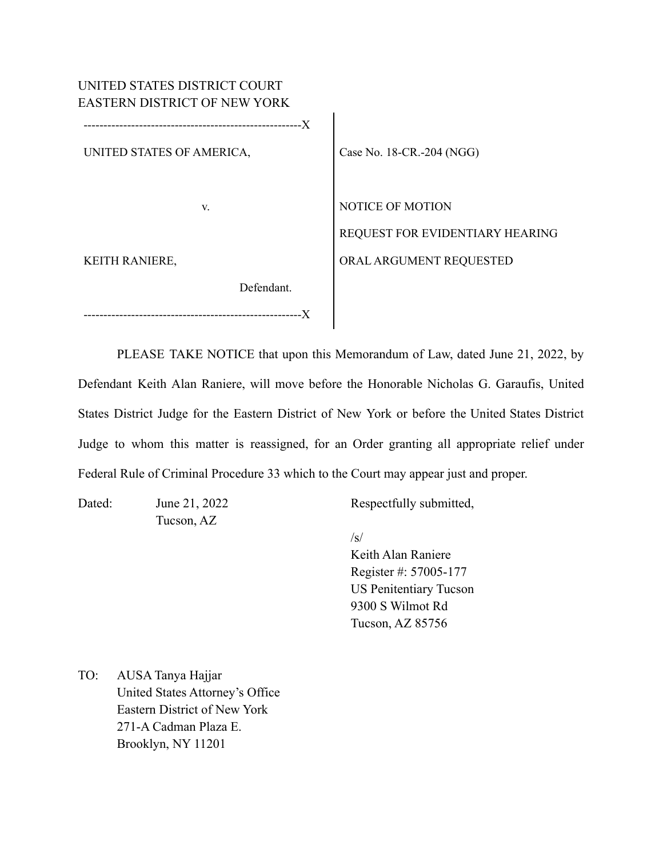| UNITED STATES DISTRICT COURT<br>EASTERN DISTRICT OF NEW YORK |                                                            |
|--------------------------------------------------------------|------------------------------------------------------------|
| --X<br>UNITED STATES OF AMERICA,                             | Case No. 18-CR.-204 (NGG)                                  |
|                                                              |                                                            |
| V.                                                           | <b>NOTICE OF MOTION</b><br>REQUEST FOR EVIDENTIARY HEARING |
| <b>KEITH RANIERE,</b>                                        | ORAL ARGUMENT REQUESTED                                    |
| Defendant.                                                   |                                                            |
| --------------------                                         |                                                            |

PLEASE TAKE NOTICE that upon this Memorandum of Law, dated June 21, 2022, by Defendant Keith Alan Raniere, will move before the Honorable Nicholas G. Garaufis, United States District Judge for the Eastern District of New York or before the United States District Judge to whom this matter is reassigned, for an Order granting all appropriate relief under Federal Rule of Criminal Procedure 33 which to the Court may appear just and proper.

Dated: June 21, 2022 Respectfully submitted,

/s/

Keith Alan Raniere Register #: 57005-177 US Penitentiary Tucson 9300 S Wilmot Rd Tucson, AZ 85756

TO: AUSA Tanya Hajjar United States Attorney's Office Eastern District of New York 271-A Cadman Plaza E. Brooklyn, NY 11201

Tucson, AZ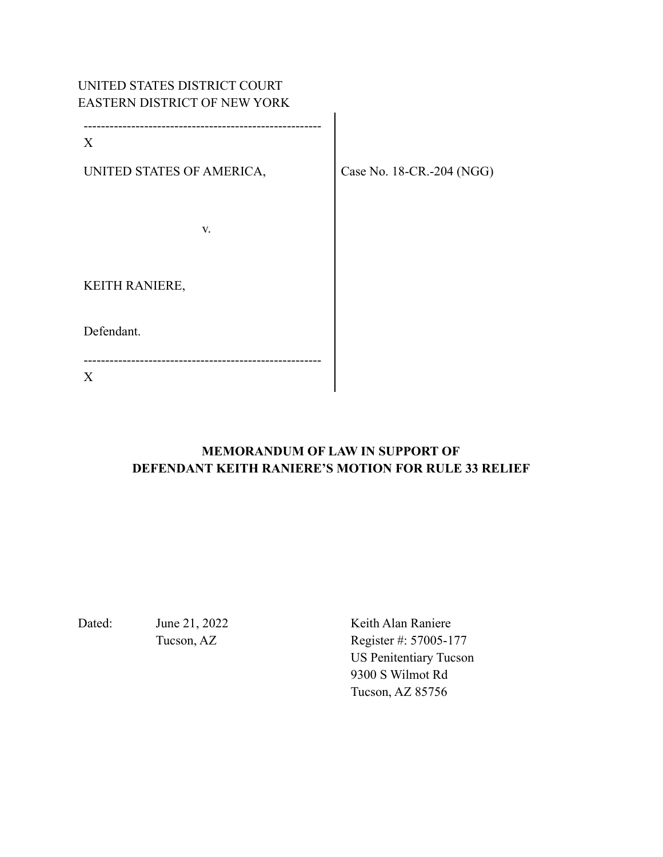# UNITED STATES DISTRICT COURT EASTERN DISTRICT OF NEW YORK

-------------------------------------------------------

------------------------------------------------------- X UNITED STATES OF AMERICA, Case No. 18-CR.-204 (NGG) v. KEITH RANIERE, Defendant.

# **MEMORANDUM OF LAW IN SUPPORT OF DEFENDANT KEITH RANIERE'S MOTION FOR RULE 33 RELIEF**

X

Dated: June 21, 2022 Keith Alan Raniere Tucson, AZ Register #: 57005-177 US Penitentiary Tucson 9300 S Wilmot Rd Tucson, AZ 85756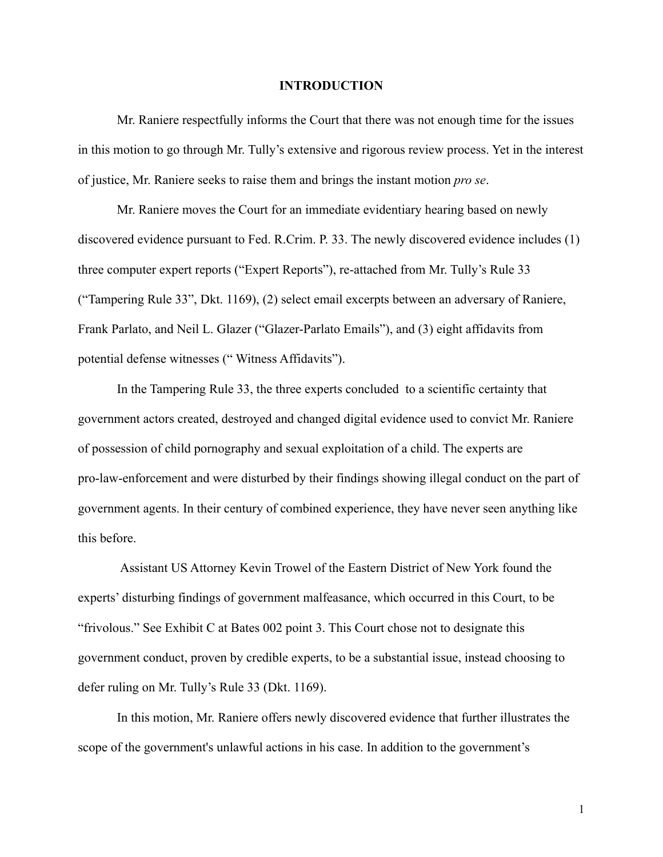#### **INTRODUCTION**

Mr. Raniere respectfully informs the Court that there was not enough time for the issues in this motion to go through Mr. Tully's extensive and rigorous review process. Yet in the interest of justice, Mr. Raniere seeks to raise them and brings the instant motion *pro se*.

Mr. Raniere moves the Court for an immediate evidentiary hearing based on newly discovered evidence pursuant to Fed. R.Crim. P. 33. The newly discovered evidence includes (1) three computer expert reports ("Expert Reports"), re-attached from Mr. Tully's Rule 33 ("Tampering Rule 33", Dkt. 1169), (2) select email excerpts between an adversary of Raniere, Frank Parlato, and Neil L. Glazer ("Glazer-Parlato Emails"), and (3) eight affidavits from potential defense witnesses (" Witness Affidavits").

In the Tampering Rule 33, the three experts concluded to a scientific certainty that government actors created, destroyed and changed digital evidence used to convict Mr. Raniere of possession of child pornography and sexual exploitation of a child. The experts are pro-law-enforcement and were disturbed by their findings showing illegal conduct on the part of government agents. In their century of combined experience, they have never seen anything like this before.

Assistant US Attorney Kevin Trowel of the Eastern District of New York found the experts' disturbing findings of government malfeasance, which occurred in this Court, to be "frivolous." See Exhibit C at Bates 002 point 3. This Court chose not to designate this government conduct, proven by credible experts, to be a substantial issue, instead choosing to defer ruling on Mr. Tully's Rule 33 (Dkt. 1169).

In this motion, Mr. Raniere offers newly discovered evidence that further illustrates the scope of the government's unlawful actions in his case. In addition to the government's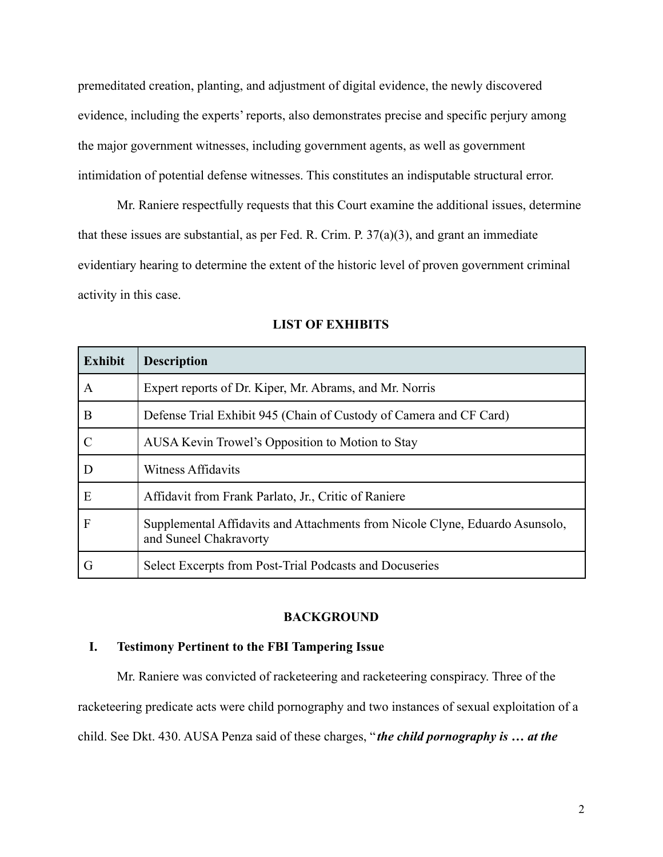premeditated creation, planting, and adjustment of digital evidence, the newly discovered evidence, including the experts' reports, also demonstrates precise and specific perjury among the major government witnesses, including government agents, as well as government intimidation of potential defense witnesses. This constitutes an indisputable structural error.

Mr. Raniere respectfully requests that this Court examine the additional issues, determine that these issues are substantial, as per Fed. R. Crim. P.  $37(a)(3)$ , and grant an immediate evidentiary hearing to determine the extent of the historic level of proven government criminal activity in this case.

| <b>Exhibit</b>   | <b>Description</b>                                                                                     |
|------------------|--------------------------------------------------------------------------------------------------------|
| $\boldsymbol{A}$ | Expert reports of Dr. Kiper, Mr. Abrams, and Mr. Norris                                                |
| B                | Defense Trial Exhibit 945 (Chain of Custody of Camera and CF Card)                                     |
| $\mathcal{C}$    | AUSA Kevin Trowel's Opposition to Motion to Stay                                                       |
| $\overline{D}$   | <b>Witness Affidavits</b>                                                                              |
| E                | Affidavit from Frank Parlato, Jr., Critic of Raniere                                                   |
| $\mathbf F$      | Supplemental Affidavits and Attachments from Nicole Clyne, Eduardo Asunsolo,<br>and Suneel Chakravorty |
| G                | Select Excerpts from Post-Trial Podcasts and Docuseries                                                |

#### **LIST OF EXHIBITS**

#### **BACKGROUND**

### **I. Testimony Pertinent to the FBI Tampering Issue**

Mr. Raniere was convicted of racketeering and racketeering conspiracy. Three of the racketeering predicate acts were child pornography and two instances of sexual exploitation of a child. See Dkt. 430. AUSA Penza said of these charges, " *the child pornography is … at the*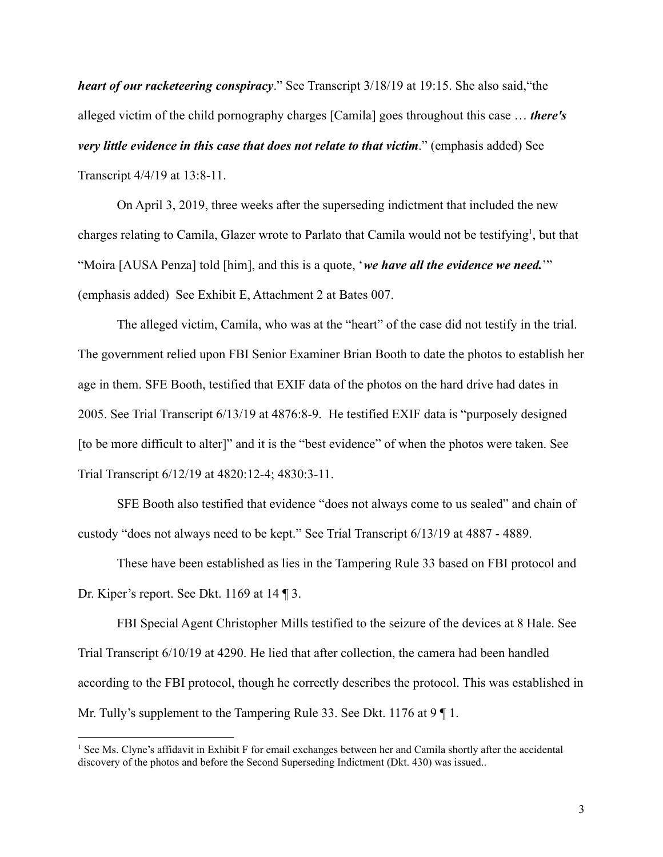*heart of our racketeering conspiracy*." See Transcript 3/18/19 at 19:15. She also said,"the alleged victim of the child pornography charges [Camila] goes throughout this case … *there's very little evidence in this case that does not relate to that victim*." (emphasis added) See Transcript 4/4/19 at 13:8-11.

On April 3, 2019, three weeks after the superseding indictment that included the new charges relating to Camila, Glazer wrote to Parlato that Camila would not be testifying<sup>1</sup>, but that "Moira [AUSA Penza] told [him], and this is a quote, '*we have all the evidence we need.*'" (emphasis added) See Exhibit E, Attachment 2 at Bates 007.

The alleged victim, Camila, who was at the "heart" of the case did not testify in the trial. The government relied upon FBI Senior Examiner Brian Booth to date the photos to establish her age in them. SFE Booth, testified that EXIF data of the photos on the hard drive had dates in 2005. See Trial Transcript 6/13/19 at 4876:8-9. He testified EXIF data is "purposely designed [to be more difficult to alter]" and it is the "best evidence" of when the photos were taken. See Trial Transcript 6/12/19 at 4820:12-4; 4830:3-11.

SFE Booth also testified that evidence "does not always come to us sealed" and chain of custody "does not always need to be kept." See Trial Transcript 6/13/19 at 4887 - 4889.

These have been established as lies in the Tampering Rule 33 based on FBI protocol and Dr. Kiper's report. See Dkt. 1169 at 14 ¶ 3.

FBI Special Agent Christopher Mills testified to the seizure of the devices at 8 Hale. See Trial Transcript 6/10/19 at 4290. He lied that after collection, the camera had been handled according to the FBI protocol, though he correctly describes the protocol. This was established in Mr. Tully's supplement to the Tampering Rule 33. See Dkt. 1176 at 9 | 1.

 $<sup>1</sup>$  See Ms. Clyne's affidavit in Exhibit F for email exchanges between her and Camila shortly after the accidental</sup> discovery of the photos and before the Second Superseding Indictment (Dkt. 430) was issued..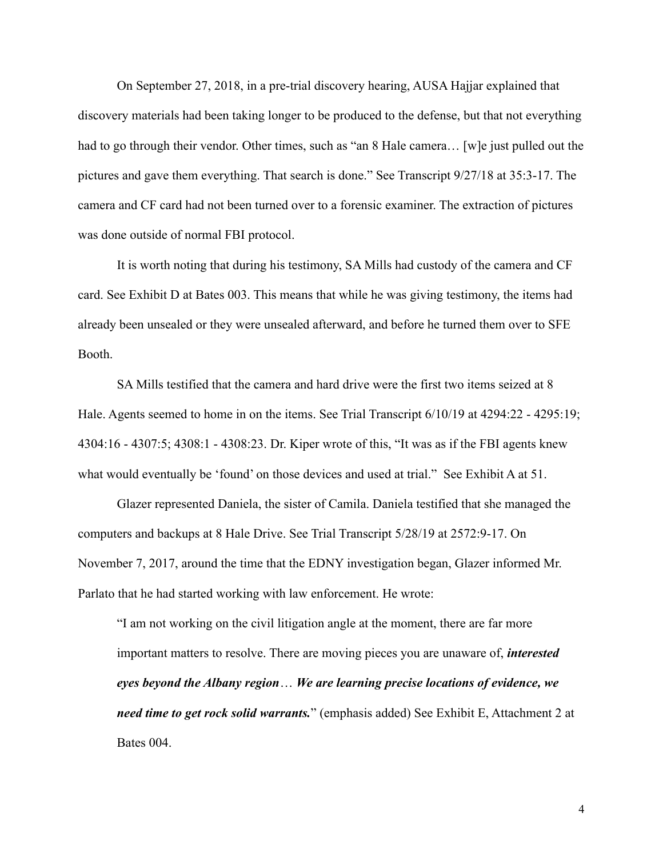On September 27, 2018, in a pre-trial discovery hearing, AUSA Hajjar explained that discovery materials had been taking longer to be produced to the defense, but that not everything had to go through their vendor. Other times, such as "an 8 Hale camera... [w]e just pulled out the pictures and gave them everything. That search is done." See Transcript 9/27/18 at 35:3-17. The camera and CF card had not been turned over to a forensic examiner. The extraction of pictures was done outside of normal FBI protocol.

It is worth noting that during his testimony, SA Mills had custody of the camera and CF card. See Exhibit D at Bates 003. This means that while he was giving testimony, the items had already been unsealed or they were unsealed afterward, and before he turned them over to SFE Booth.

SA Mills testified that the camera and hard drive were the first two items seized at 8 Hale. Agents seemed to home in on the items. See Trial Transcript 6/10/19 at 4294:22 - 4295:19; 4304:16 - 4307:5; 4308:1 - 4308:23. Dr. Kiper wrote of this, "It was as if the FBI agents knew what would eventually be 'found' on those devices and used at trial." See Exhibit A at 51.

Glazer represented Daniela, the sister of Camila. Daniela testified that she managed the computers and backups at 8 Hale Drive. See Trial Transcript 5/28/19 at 2572:9-17. On November 7, 2017, around the time that the EDNY investigation began, Glazer informed Mr. Parlato that he had started working with law enforcement. He wrote:

"I am not working on the civil litigation angle at the moment, there are far more important matters to resolve. There are moving pieces you are unaware of, *interested eyes beyond the Albany region*… *We are learning precise locations of evidence, we need time to get rock solid warrants.*" (emphasis added) See Exhibit E, Attachment 2 at Bates 004.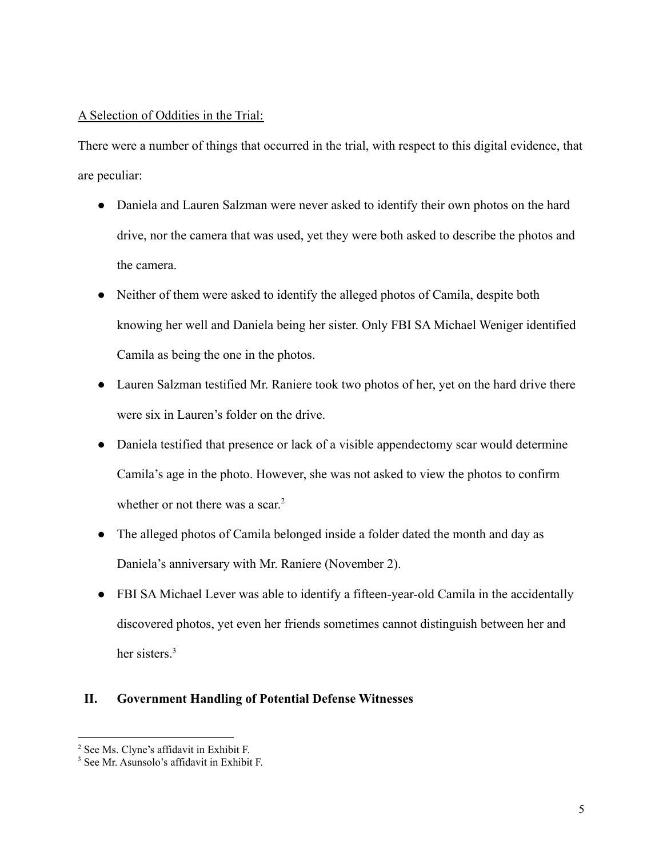## A Selection of Oddities in the Trial:

There were a number of things that occurred in the trial, with respect to this digital evidence, that are peculiar:

- Daniela and Lauren Salzman were never asked to identify their own photos on the hard drive, nor the camera that was used, yet they were both asked to describe the photos and the camera.
- Neither of them were asked to identify the alleged photos of Camila, despite both knowing her well and Daniela being her sister. Only FBI SA Michael Weniger identified Camila as being the one in the photos.
- Lauren Salzman testified Mr. Raniere took two photos of her, yet on the hard drive there were six in Lauren's folder on the drive.
- Daniela testified that presence or lack of a visible appendectomy scar would determine Camila's age in the photo. However, she was not asked to view the photos to confirm whether or not there was a scar.<sup>2</sup>
- The alleged photos of Camila belonged inside a folder dated the month and day as Daniela's anniversary with Mr. Raniere (November 2).
- FBI SA Michael Lever was able to identify a fifteen-year-old Camila in the accidentally discovered photos, yet even her friends sometimes cannot distinguish between her and her sisters.<sup>3</sup>

# **II. Government Handling of Potential Defense Witnesses**

<sup>2</sup> See Ms. Clyne's affidavit in Exhibit F.

<sup>3</sup> See Mr. Asunsolo's affidavit in Exhibit F.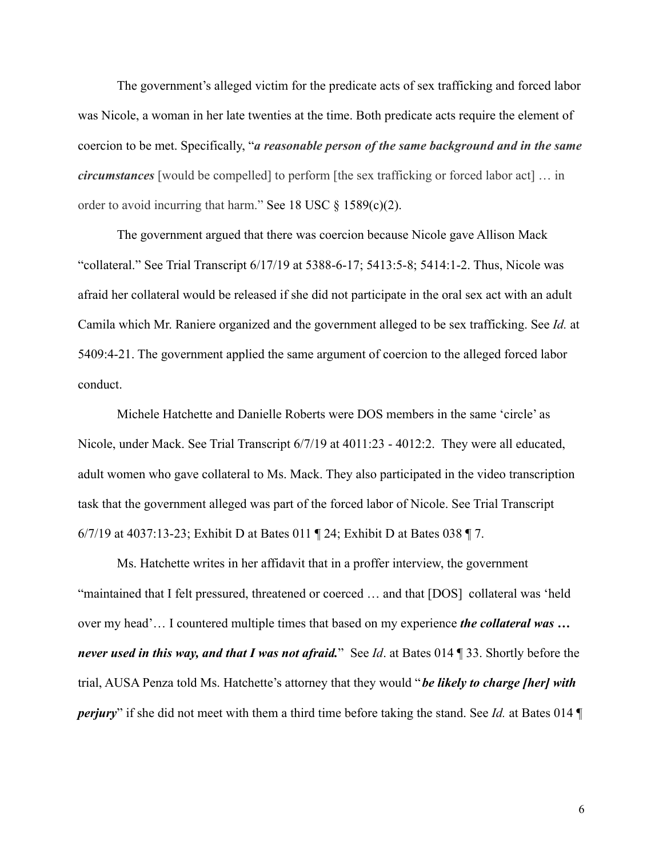The government's alleged victim for the predicate acts of sex trafficking and forced labor was Nicole, a woman in her late twenties at the time. Both predicate acts require the element of coercion to be met. Specifically, "*a reasonable person of the same background and in the same circumstances* [would be compelled] to perform [the sex trafficking or forced labor act] … in order to avoid incurring that harm." See 18 USC  $\S$  1589(c)(2).

The government argued that there was coercion because Nicole gave Allison Mack "collateral." See Trial Transcript 6/17/19 at 5388-6-17; 5413:5-8; 5414:1-2. Thus, Nicole was afraid her collateral would be released if she did not participate in the oral sex act with an adult Camila which Mr. Raniere organized and the government alleged to be sex trafficking. See *Id.* at 5409:4-21. The government applied the same argument of coercion to the alleged forced labor conduct.

Michele Hatchette and Danielle Roberts were DOS members in the same 'circle' as Nicole, under Mack. See Trial Transcript 6/7/19 at 4011:23 - 4012:2. They were all educated, adult women who gave collateral to Ms. Mack. They also participated in the video transcription task that the government alleged was part of the forced labor of Nicole. See Trial Transcript 6/7/19 at 4037:13-23; Exhibit D at Bates 011 ¶ 24; Exhibit D at Bates 038 ¶ 7.

Ms. Hatchette writes in her affidavit that in a proffer interview, the government "maintained that I felt pressured, threatened or coerced … and that [DOS] collateral was 'held over my head'… I countered multiple times that based on my experience *the collateral was … never used in this way, and that I was not afraid.*" See *Id*. at Bates 014 ¶ 33. Shortly before the trial, AUSA Penza told Ms. Hatchette's attorney that they would "*be likely to charge [her] with perjury*" if she did not meet with them a third time before taking the stand. See *Id.* at Bates 014 ¶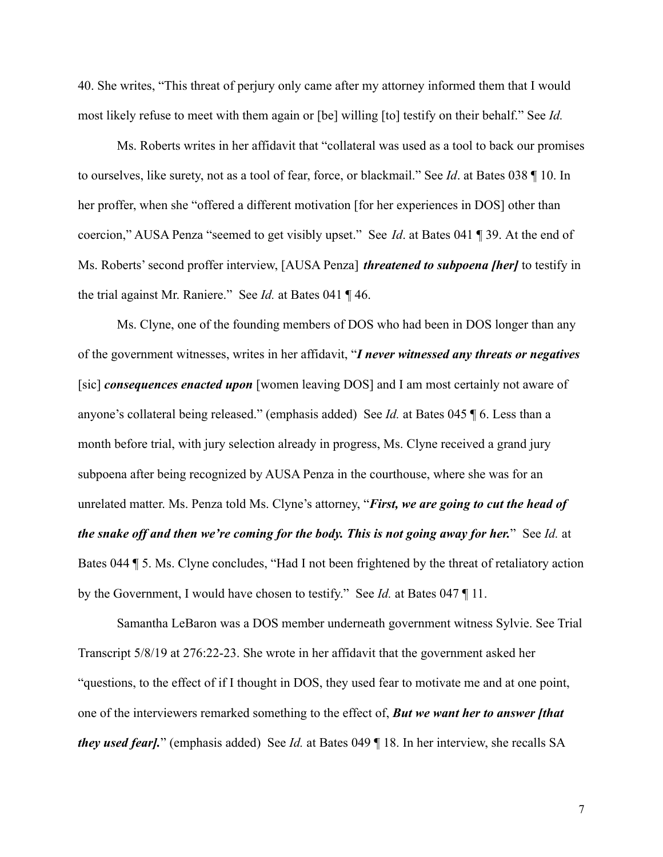40. She writes, "This threat of perjury only came after my attorney informed them that I would most likely refuse to meet with them again or [be] willing [to] testify on their behalf." See *Id.*

Ms. Roberts writes in her affidavit that "collateral was used as a tool to back our promises to ourselves, like surety, not as a tool of fear, force, or blackmail." See *Id*. at Bates 038 ¶ 10. In her proffer, when she "offered a different motivation [for her experiences in DOS] other than coercion," AUSA Penza "seemed to get visibly upset." See *Id*. at Bates 041 ¶ 39. At the end of Ms. Roberts' second proffer interview, [AUSA Penza] *threatened to subpoena [her]* to testify in the trial against Mr. Raniere." See *Id.* at Bates 041 ¶ 46.

Ms. Clyne, one of the founding members of DOS who had been in DOS longer than any of the government witnesses, writes in her affidavit, "*I never witnessed any threats or negatives* [sic] *consequences enacted upon* [women leaving DOS] and I am most certainly not aware of anyone's collateral being released." (emphasis added) See *Id.* at Bates 045 ¶ 6. Less than a month before trial, with jury selection already in progress, Ms. Clyne received a grand jury subpoena after being recognized by AUSA Penza in the courthouse, where she was for an unrelated matter. Ms. Penza told Ms. Clyne's attorney, "*First, we are going to cut the head of the snake off and then we're coming for the body. This is not going away for her.*" See *Id.* at Bates 044 ¶ 5. Ms. Clyne concludes, "Had I not been frightened by the threat of retaliatory action by the Government, I would have chosen to testify." See *Id.* at Bates 047 ¶ 11.

Samantha LeBaron was a DOS member underneath government witness Sylvie. See Trial Transcript 5/8/19 at 276:22-23. She wrote in her affidavit that the government asked her "questions, to the effect of if I thought in DOS, they used fear to motivate me and at one point, one of the interviewers remarked something to the effect of, *But we want her to answer [that they used fear].*" (emphasis added) See *Id.* at Bates 049 ¶ 18. In her interview, she recalls SA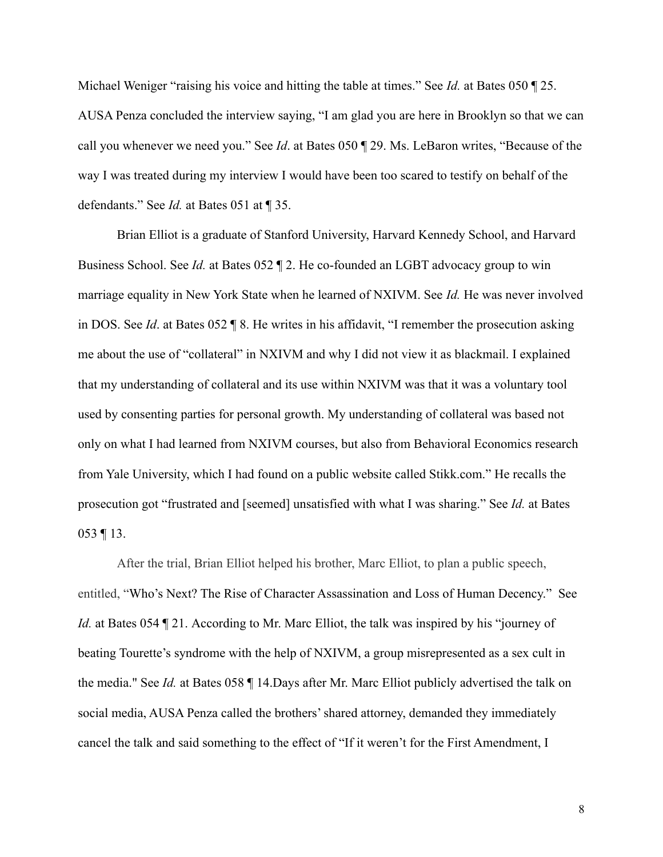Michael Weniger "raising his voice and hitting the table at times." See *Id.* at Bates 050 ¶ 25. AUSA Penza concluded the interview saying, "I am glad you are here in Brooklyn so that we can call you whenever we need you." See *Id*. at Bates 050 ¶ 29. Ms. LeBaron writes, "Because of the way I was treated during my interview I would have been too scared to testify on behalf of the defendants." See *Id.* at Bates 051 at ¶ 35.

Brian Elliot is a graduate of Stanford University, Harvard Kennedy School, and Harvard Business School. See *Id.* at Bates 052 ¶ 2. He co-founded an LGBT advocacy group to win marriage equality in New York State when he learned of NXIVM. See *Id.* He was never involved in DOS. See *Id*. at Bates 052 ¶ 8. He writes in his affidavit, "I remember the prosecution asking me about the use of "collateral" in NXIVM and why I did not view it as blackmail. I explained that my understanding of collateral and its use within NXIVM was that it was a voluntary tool used by consenting parties for personal growth. My understanding of collateral was based not only on what I had learned from NXIVM courses, but also from Behavioral Economics research from Yale University, which I had found on a public website called Stikk.com." He recalls the prosecution got "frustrated and [seemed] unsatisfied with what I was sharing." See *Id.* at Bates 053 ¶ 13.

After the trial, Brian Elliot helped his brother, Marc Elliot, to plan a public speech, entitled, "Who's Next? The Rise of Character Assassination and Loss of Human Decency." See *Id.* at Bates 054 ¶ 21. According to Mr. Marc Elliot, the talk was inspired by his "journey of beating Tourette's syndrome with the help of NXIVM, a group misrepresented as a sex cult in the media." See *Id.* at Bates 058 ¶ 14.Days after Mr. Marc Elliot publicly advertised the talk on social media, AUSA Penza called the brothers' shared attorney, demanded they immediately cancel the talk and said something to the effect of "If it weren't for the First Amendment, I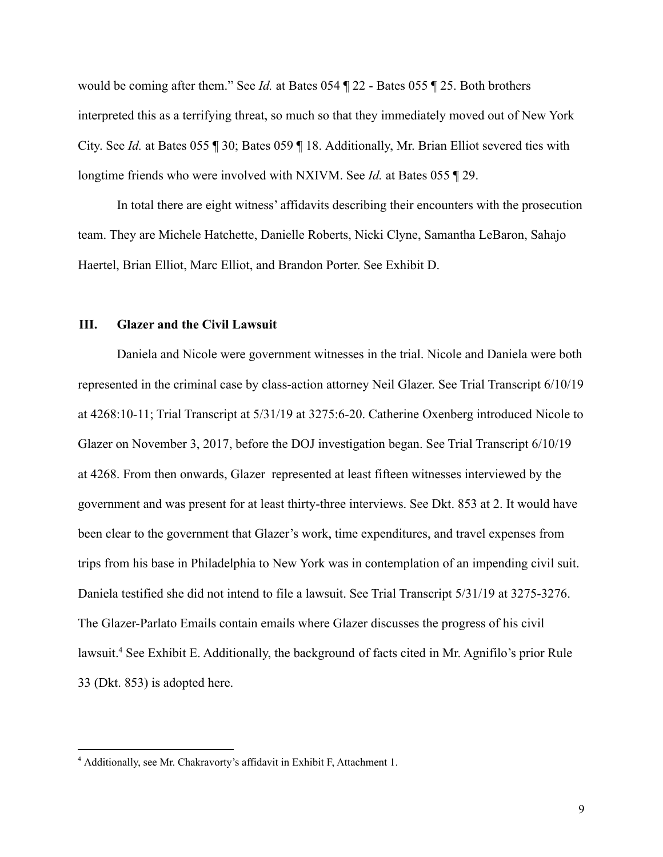would be coming after them." See *Id.* at Bates 054 ¶ 22 - Bates 055 ¶ 25. Both brothers interpreted this as a terrifying threat, so much so that they immediately moved out of New York City. See *Id.* at Bates 055 ¶ 30; Bates 059 ¶ 18. Additionally, Mr. Brian Elliot severed ties with longtime friends who were involved with NXIVM. See *Id.* at Bates 055 ¶ 29.

In total there are eight witness' affidavits describing their encounters with the prosecution team. They are Michele Hatchette, Danielle Roberts, Nicki Clyne, Samantha LeBaron, Sahajo Haertel, Brian Elliot, Marc Elliot, and Brandon Porter. See Exhibit D.

#### **III. Glazer and the Civil Lawsuit**

Daniela and Nicole were government witnesses in the trial. Nicole and Daniela were both represented in the criminal case by class-action attorney Neil Glazer. See Trial Transcript 6/10/19 at 4268:10-11; Trial Transcript at 5/31/19 at 3275:6-20. Catherine Oxenberg introduced Nicole to Glazer on November 3, 2017, before the DOJ investigation began. See Trial Transcript 6/10/19 at 4268. From then onwards, Glazer represented at least fifteen witnesses interviewed by the government and was present for at least thirty-three interviews. See Dkt. 853 at 2. It would have been clear to the government that Glazer's work, time expenditures, and travel expenses from trips from his base in Philadelphia to New York was in contemplation of an impending civil suit. Daniela testified she did not intend to file a lawsuit. See Trial Transcript 5/31/19 at 3275-3276. The Glazer-Parlato Emails contain emails where Glazer discusses the progress of his civil lawsuit.<sup>4</sup> See Exhibit E. Additionally, the background of facts cited in Mr. Agnifilo's prior Rule 33 (Dkt. 853) is adopted here.

<sup>4</sup> Additionally, see Mr. Chakravorty's affidavit in Exhibit F, Attachment 1.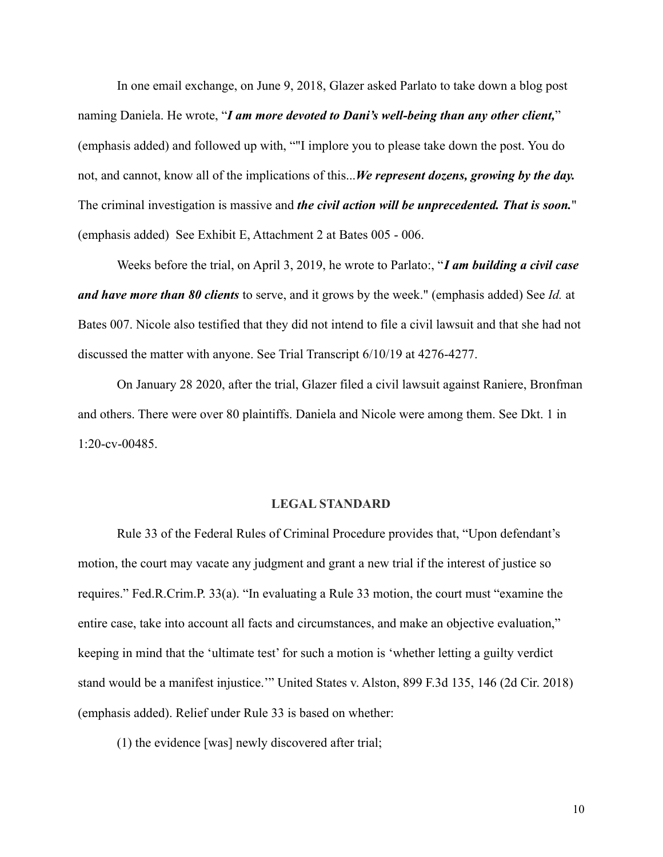In one email exchange, on June 9, 2018, Glazer asked Parlato to take down a blog post naming Daniela. He wrote, "*I am more devoted to Dani's well-being than any other client,*" (emphasis added) and followed up with, ""I implore you to please take down the post. You do not, and cannot, know all of the implications of this...*We represent dozens, growing by the day.* The criminal investigation is massive and *the civil action will be unprecedented. That is soon.*" (emphasis added) See Exhibit E, Attachment 2 at Bates 005 - 006.

Weeks before the trial, on April 3, 2019, he wrote to Parlato:, "*I am building a civil case and have more than 80 clients* to serve, and it grows by the week." (emphasis added) See *Id.* at Bates 007. Nicole also testified that they did not intend to file a civil lawsuit and that she had not discussed the matter with anyone. See Trial Transcript 6/10/19 at 4276-4277.

On January 28 2020, after the trial, Glazer filed a civil lawsuit against Raniere, Bronfman and others. There were over 80 plaintiffs. Daniela and Nicole were among them. See Dkt. 1 in 1:20-cv-00485.

#### **LEGAL STANDARD**

Rule 33 of the Federal Rules of Criminal Procedure provides that, "Upon defendant's motion, the court may vacate any judgment and grant a new trial if the interest of justice so requires." Fed.R.Crim.P. 33(a). "In evaluating a Rule 33 motion, the court must "examine the entire case, take into account all facts and circumstances, and make an objective evaluation," keeping in mind that the 'ultimate test' for such a motion is 'whether letting a guilty verdict stand would be a manifest injustice.'" United States v. Alston, 899 F.3d 135, 146 (2d Cir. 2018) (emphasis added). Relief under Rule 33 is based on whether:

(1) the evidence [was] newly discovered after trial;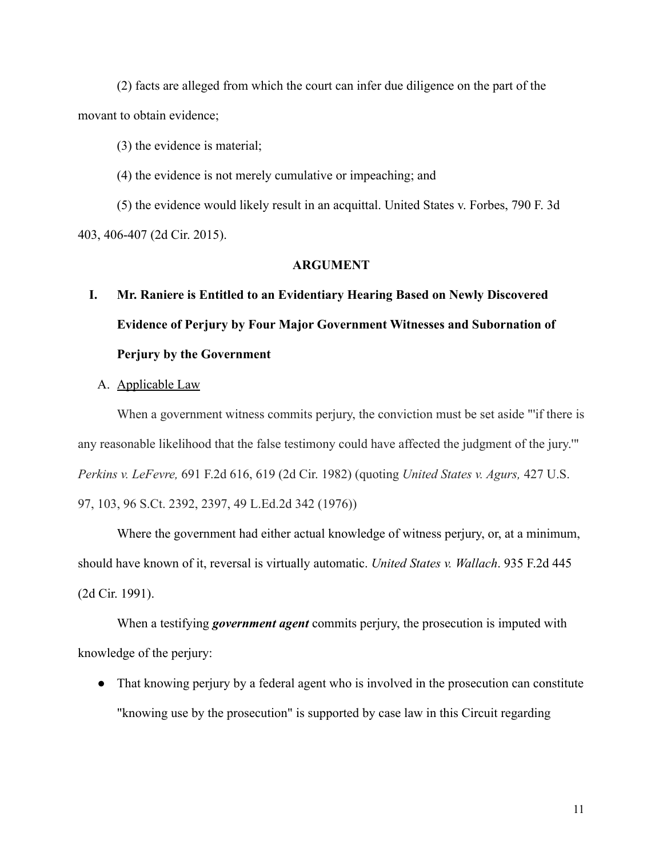(2) facts are alleged from which the court can infer due diligence on the part of the movant to obtain evidence;

(3) the evidence is material;

(4) the evidence is not merely cumulative or impeaching; and

(5) the evidence would likely result in an acquittal. United States v. Forbes, 790 F. 3d 403, 406-407 (2d Cir. 2015).

#### **ARGUMENT**

- **I. Mr. Raniere is Entitled to an Evidentiary Hearing Based on Newly Discovered Evidence of Perjury by Four Major Government Witnesses and Subornation of Perjury by the Government**
	- A. Applicable Law

When a government witness commits perjury, the conviction must be set aside "'if there is any reasonable likelihood that the false testimony could have affected the judgment of the jury.'" *Perkins v. LeFevre,* 691 F.2d 616, 619 (2d Cir. 1982) (quoting *United States v. Agurs,* 427 U.S. 97, 103, 96 S.Ct. 2392, 2397, 49 L.Ed.2d 342 (1976))

Where the government had either actual knowledge of witness perjury, or, at a minimum, should have known of it, reversal is virtually automatic. *United States v. Wallach*. 935 F.2d 445 (2d Cir. 1991).

When a testifying *government agent* commits perjury, the prosecution is imputed with knowledge of the perjury:

• That knowing perjury by a federal agent who is involved in the prosecution can constitute "knowing use by the prosecution" is supported by case law in this Circuit regarding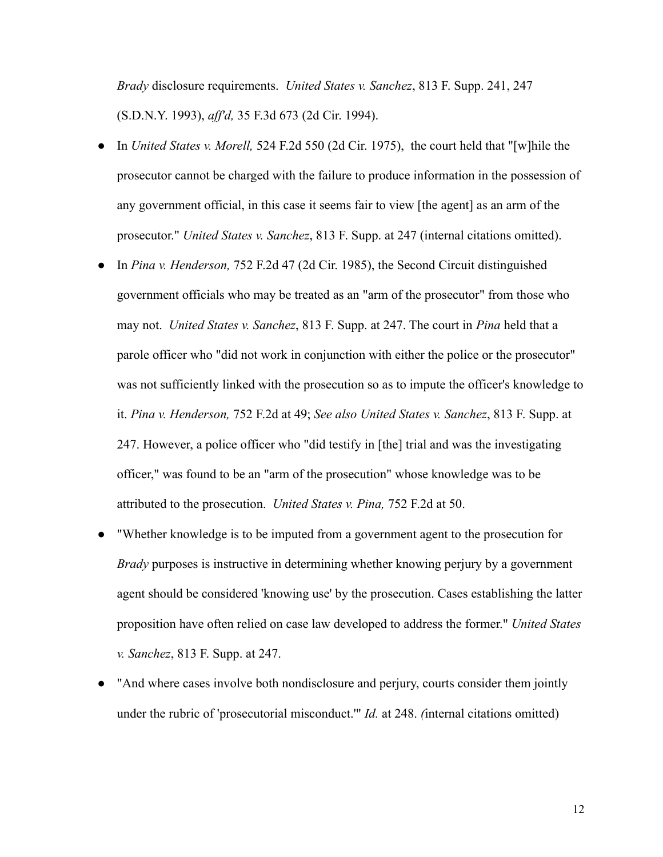*Brady* disclosure requirements. *United States v. Sanchez*, 813 F. Supp. 241, 247 (S.D.N.Y. 1993), *aff'd,* 35 F.3d 673 (2d Cir. 1994).

- In *United States v. Morell,* 524 F.2d 550 (2d Cir. 1975), the court held that "[w]hile the prosecutor cannot be charged with the failure to produce information in the possession of any government official, in this case it seems fair to view [the agent] as an arm of the prosecutor." *United States v. Sanchez*, 813 F. Supp. at 247 (internal citations omitted).
- In *Pina v. Henderson,* 752 F.2d 47 (2d Cir. 1985), the Second Circuit distinguished government officials who may be treated as an "arm of the prosecutor" from those who may not. *United States v. Sanchez*, 813 F. Supp. at 247. The court in *Pina* held that a parole officer who "did not work in conjunction with either the police or the prosecutor" was not sufficiently linked with the prosecution so as to impute the officer's knowledge to it. *Pina v. Henderson,* 752 F.2d at 49; *See also United States v. Sanchez*, 813 F. Supp. at 247. However, a police officer who "did testify in [the] trial and was the investigating officer," was found to be an "arm of the prosecution" whose knowledge was to be attributed to the prosecution. *United States v. Pina,* 752 F.2d at 50.
- "Whether knowledge is to be imputed from a government agent to the prosecution for *Brady* purposes is instructive in determining whether knowing perjury by a government agent should be considered 'knowing use' by the prosecution. Cases establishing the latter proposition have often relied on case law developed to address the former." *United States v. Sanchez*, 813 F. Supp. at 247.
- "And where cases involve both nondisclosure and perjury, courts consider them jointly under the rubric of 'prosecutorial misconduct.'" *Id.* at 248. *(*internal citations omitted)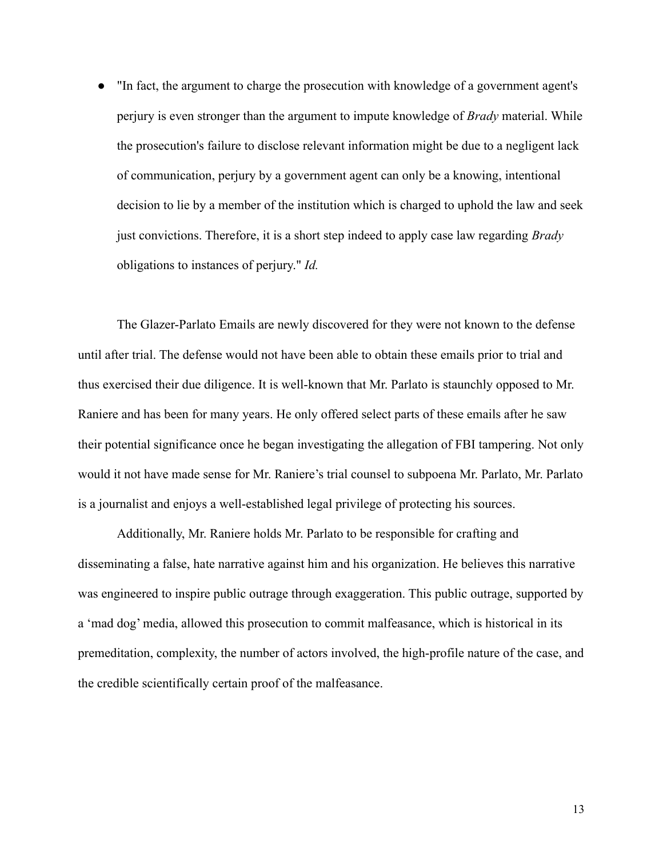"In fact, the argument to charge the prosecution with knowledge of a government agent's perjury is even stronger than the argument to impute knowledge of *Brady* material. While the prosecution's failure to disclose relevant information might be due to a negligent lack of communication, perjury by a government agent can only be a knowing, intentional decision to lie by a member of the institution which is charged to uphold the law and seek just convictions. Therefore, it is a short step indeed to apply case law regarding *Brady* obligations to instances of perjury." *Id.*

The Glazer-Parlato Emails are newly discovered for they were not known to the defense until after trial. The defense would not have been able to obtain these emails prior to trial and thus exercised their due diligence. It is well-known that Mr. Parlato is staunchly opposed to Mr. Raniere and has been for many years. He only offered select parts of these emails after he saw their potential significance once he began investigating the allegation of FBI tampering. Not only would it not have made sense for Mr. Raniere's trial counsel to subpoena Mr. Parlato, Mr. Parlato is a journalist and enjoys a well-established legal privilege of protecting his sources.

Additionally, Mr. Raniere holds Mr. Parlato to be responsible for crafting and disseminating a false, hate narrative against him and his organization. He believes this narrative was engineered to inspire public outrage through exaggeration. This public outrage, supported by a 'mad dog' media, allowed this prosecution to commit malfeasance, which is historical in its premeditation, complexity, the number of actors involved, the high-profile nature of the case, and the credible scientifically certain proof of the malfeasance.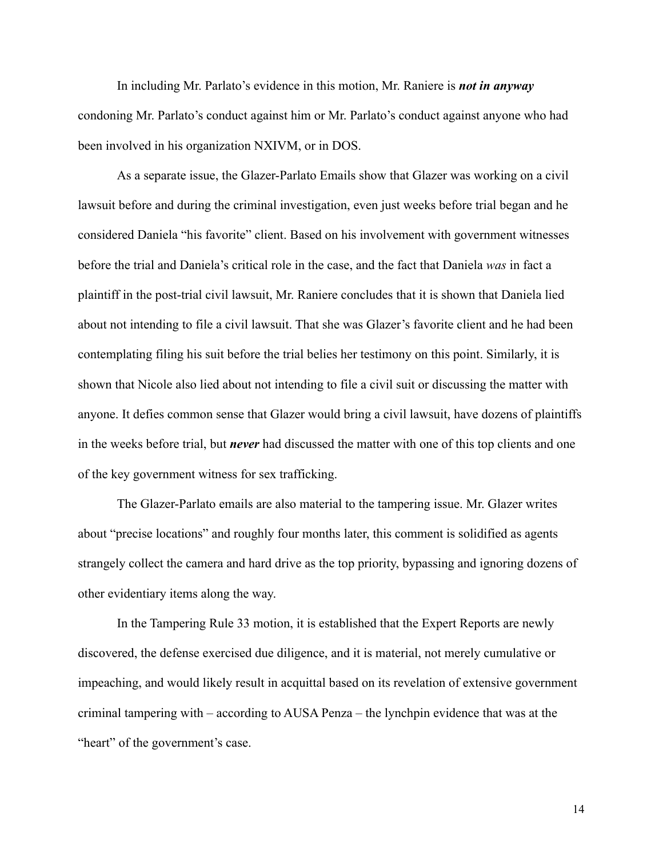In including Mr. Parlato's evidence in this motion, Mr. Raniere is *not in anyway* condoning Mr. Parlato's conduct against him or Mr. Parlato's conduct against anyone who had been involved in his organization NXIVM, or in DOS.

As a separate issue, the Glazer-Parlato Emails show that Glazer was working on a civil lawsuit before and during the criminal investigation, even just weeks before trial began and he considered Daniela "his favorite" client. Based on his involvement with government witnesses before the trial and Daniela's critical role in the case, and the fact that Daniela *was* in fact a plaintiff in the post-trial civil lawsuit, Mr. Raniere concludes that it is shown that Daniela lied about not intending to file a civil lawsuit. That she was Glazer's favorite client and he had been contemplating filing his suit before the trial belies her testimony on this point. Similarly, it is shown that Nicole also lied about not intending to file a civil suit or discussing the matter with anyone. It defies common sense that Glazer would bring a civil lawsuit, have dozens of plaintiffs in the weeks before trial, but *never* had discussed the matter with one of this top clients and one of the key government witness for sex trafficking.

The Glazer-Parlato emails are also material to the tampering issue. Mr. Glazer writes about "precise locations" and roughly four months later, this comment is solidified as agents strangely collect the camera and hard drive as the top priority, bypassing and ignoring dozens of other evidentiary items along the way.

In the Tampering Rule 33 motion, it is established that the Expert Reports are newly discovered, the defense exercised due diligence, and it is material, not merely cumulative or impeaching, and would likely result in acquittal based on its revelation of extensive government criminal tampering with – according to AUSA Penza – the lynchpin evidence that was at the "heart" of the government's case.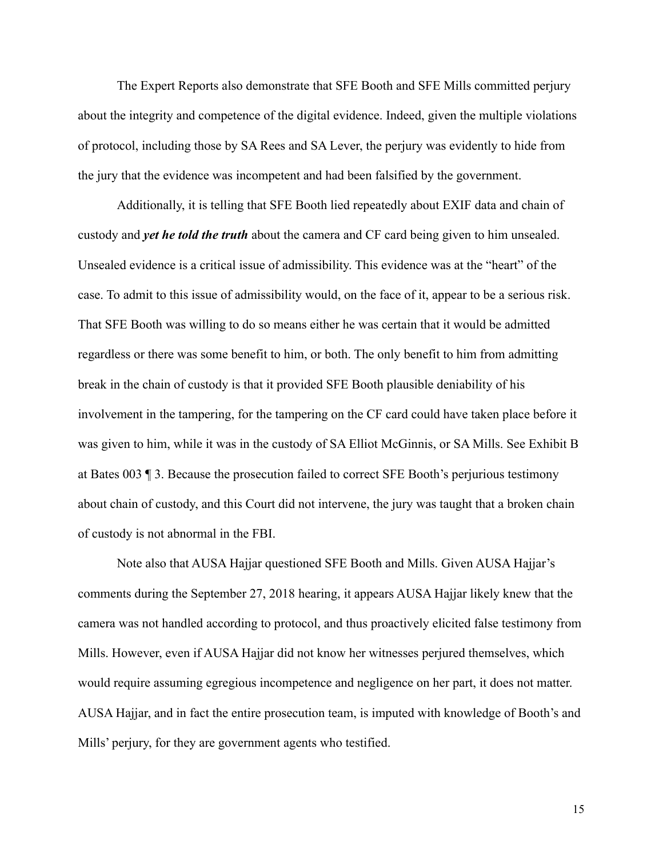The Expert Reports also demonstrate that SFE Booth and SFE Mills committed perjury about the integrity and competence of the digital evidence. Indeed, given the multiple violations of protocol, including those by SA Rees and SA Lever, the perjury was evidently to hide from the jury that the evidence was incompetent and had been falsified by the government.

Additionally, it is telling that SFE Booth lied repeatedly about EXIF data and chain of custody and *yet he told the truth* about the camera and CF card being given to him unsealed. Unsealed evidence is a critical issue of admissibility. This evidence was at the "heart" of the case. To admit to this issue of admissibility would, on the face of it, appear to be a serious risk. That SFE Booth was willing to do so means either he was certain that it would be admitted regardless or there was some benefit to him, or both. The only benefit to him from admitting break in the chain of custody is that it provided SFE Booth plausible deniability of his involvement in the tampering, for the tampering on the CF card could have taken place before it was given to him, while it was in the custody of SA Elliot McGinnis, or SA Mills. See Exhibit B at Bates 003 ¶ 3. Because the prosecution failed to correct SFE Booth's perjurious testimony about chain of custody, and this Court did not intervene, the jury was taught that a broken chain of custody is not abnormal in the FBI.

Note also that AUSA Hajjar questioned SFE Booth and Mills. Given AUSA Hajjar's comments during the September 27, 2018 hearing, it appears AUSA Hajjar likely knew that the camera was not handled according to protocol, and thus proactively elicited false testimony from Mills. However, even if AUSA Hajjar did not know her witnesses perjured themselves, which would require assuming egregious incompetence and negligence on her part, it does not matter. AUSA Hajjar, and in fact the entire prosecution team, is imputed with knowledge of Booth's and Mills' perjury, for they are government agents who testified.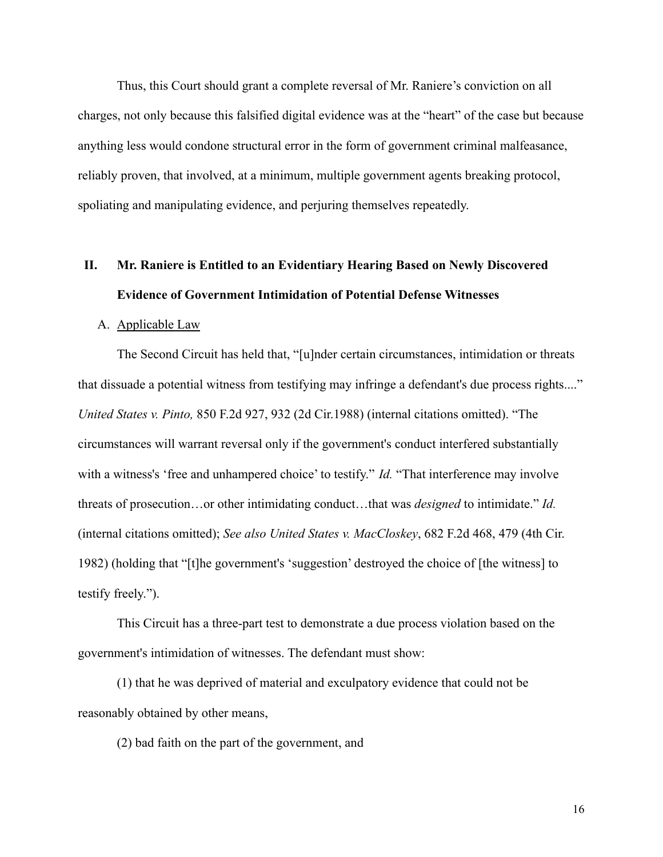Thus, this Court should grant a complete reversal of Mr. Raniere's conviction on all charges, not only because this falsified digital evidence was at the "heart" of the case but because anything less would condone structural error in the form of government criminal malfeasance, reliably proven, that involved, at a minimum, multiple government agents breaking protocol, spoliating and manipulating evidence, and perjuring themselves repeatedly.

# **II. Mr. Raniere is Entitled to an Evidentiary Hearing Based on Newly Discovered Evidence of Government Intimidation of Potential Defense Witnesses**

#### A. Applicable Law

The Second Circuit has held that, "[u]nder certain circumstances, intimidation or threats that dissuade a potential witness from testifying may infringe a defendant's due process rights...." *United States v. Pinto,* 850 F.2d 927, 932 (2d Cir.1988) (internal citations omitted). "The circumstances will warrant reversal only if the government's conduct interfered substantially with a witness's 'free and unhampered choice' to testify." *Id.* "That interference may involve threats of prosecution…or other intimidating conduct…that was *designed* to intimidate." *Id.* (internal citations omitted); *See also United States v. MacCloskey*, 682 F.2d 468, 479 (4th Cir. 1982) (holding that "[t]he government's 'suggestion' destroyed the choice of [the witness] to testify freely.").

This Circuit has a three-part test to demonstrate a due process violation based on the government's intimidation of witnesses. The defendant must show:

(1) that he was deprived of material and exculpatory evidence that could not be reasonably obtained by other means,

(2) bad faith on the part of the government, and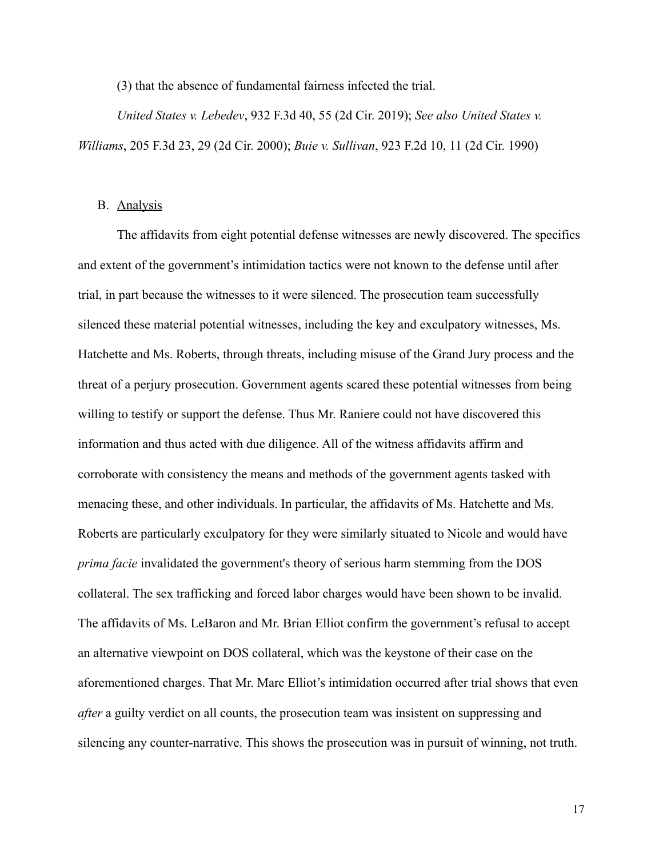(3) that the absence of fundamental fairness infected the trial.

*United States v. Lebedev*, 932 F.3d 40, 55 (2d Cir. 2019); *See also United States v. Williams*, 205 F.3d 23, 29 (2d Cir. 2000); *Buie v. Sullivan*, 923 F.2d 10, 11 (2d Cir. 1990)

#### B. Analysis

The affidavits from eight potential defense witnesses are newly discovered. The specifics and extent of the government's intimidation tactics were not known to the defense until after trial, in part because the witnesses to it were silenced. The prosecution team successfully silenced these material potential witnesses, including the key and exculpatory witnesses, Ms. Hatchette and Ms. Roberts, through threats, including misuse of the Grand Jury process and the threat of a perjury prosecution. Government agents scared these potential witnesses from being willing to testify or support the defense. Thus Mr. Raniere could not have discovered this information and thus acted with due diligence. All of the witness affidavits affirm and corroborate with consistency the means and methods of the government agents tasked with menacing these, and other individuals. In particular, the affidavits of Ms. Hatchette and Ms. Roberts are particularly exculpatory for they were similarly situated to Nicole and would have *prima facie* invalidated the government's theory of serious harm stemming from the DOS collateral. The sex trafficking and forced labor charges would have been shown to be invalid. The affidavits of Ms. LeBaron and Mr. Brian Elliot confirm the government's refusal to accept an alternative viewpoint on DOS collateral, which was the keystone of their case on the aforementioned charges. That Mr. Marc Elliot's intimidation occurred after trial shows that even *after* a guilty verdict on all counts, the prosecution team was insistent on suppressing and silencing any counter-narrative. This shows the prosecution was in pursuit of winning, not truth.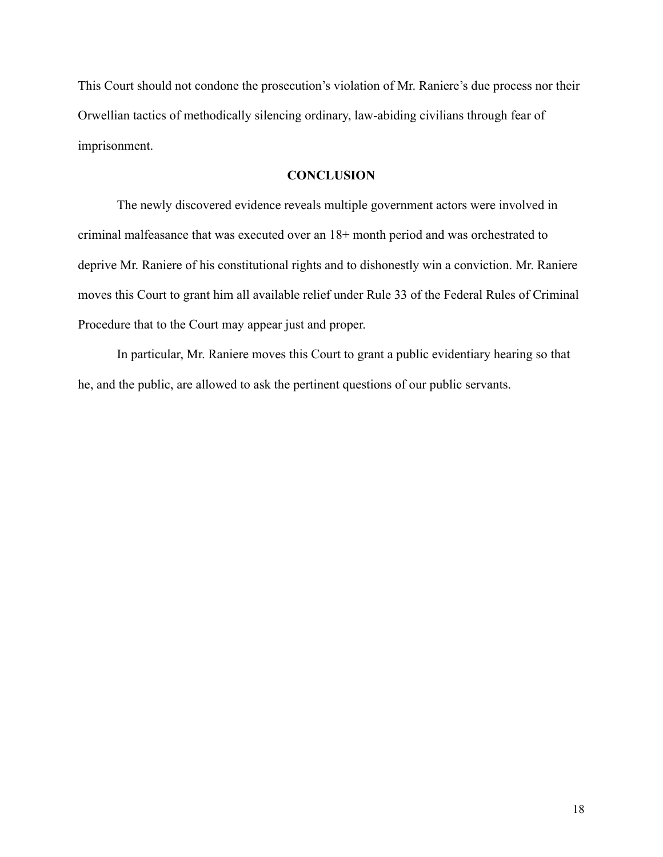This Court should not condone the prosecution's violation of Mr. Raniere's due process nor their Orwellian tactics of methodically silencing ordinary, law-abiding civilians through fear of imprisonment.

## **CONCLUSION**

The newly discovered evidence reveals multiple government actors were involved in criminal malfeasance that was executed over an 18+ month period and was orchestrated to deprive Mr. Raniere of his constitutional rights and to dishonestly win a conviction. Mr. Raniere moves this Court to grant him all available relief under Rule 33 of the Federal Rules of Criminal Procedure that to the Court may appear just and proper.

In particular, Mr. Raniere moves this Court to grant a public evidentiary hearing so that he, and the public, are allowed to ask the pertinent questions of our public servants.